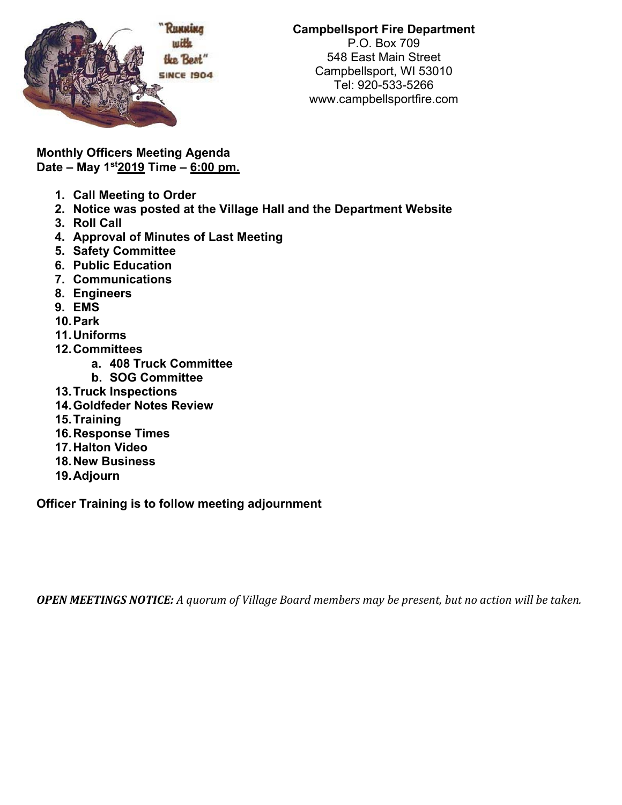

**Campbellsport Fire Department**  P.O. Box 709 548 East Main Street Campbellsport, WI 53010 Tel: 920-533-5266 www.campbellsportfire.com

**Monthly Officers Meeting Agenda Date – May 1st2019 Time – 6:00 pm.** 

- **1. Call Meeting to Order**
- **2. Notice was posted at the Village Hall and the Department Website**
- **3. Roll Call**
- **4. Approval of Minutes of Last Meeting**
- **5. Safety Committee**
- **6. Public Education**
- **7. Communications**
- **8. Engineers**
- **9. EMS**
- **10. Park**
- **11. Uniforms**
- **12. Committees** 
	- **a. 408 Truck Committee**
	- **b. SOG Committee**
- **13. Truck Inspections**
- **14. Goldfeder Notes Review**
- **15. Training**
- **16. Response Times**
- **17. Halton Video**
- **18. New Business**
- **19. Adjourn**

**Officer Training is to follow meeting adjournment** 

**OPEN MEETINGS NOTICE:** A quorum of Village Board members may be present, but no action will be taken.